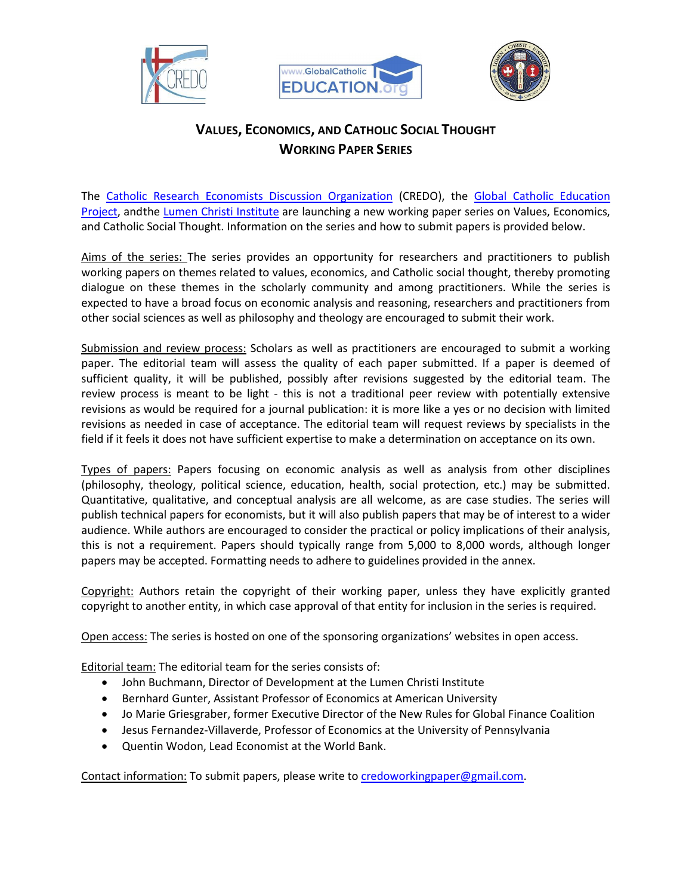





## **VALUES, ECONOMICS, AND CATHOLIC SOCIAL THOUGHT WORKING PAPER SERIES**

The [Catholic Research Economists Discussion Organization](https://credo-economists.org/) (CREDO), the [Global Catholic Education](https://www.globalcatholiceducation.org/)  [Project,](https://www.globalcatholiceducation.org/) andthe [Lumen Christi Institute](https://www.lumenchristi.org/) are launching a new working paper series on Values, Economics, and Catholic Social Thought. Information on the series and how to submit papers is provided below.

Aims of the series: The series provides an opportunity for researchers and practitioners to publish working papers on themes related to values, economics, and Catholic social thought, thereby promoting dialogue on these themes in the scholarly community and among practitioners. While the series is expected to have a broad focus on economic analysis and reasoning, researchers and practitioners from other social sciences as well as philosophy and theology are encouraged to submit their work.

Submission and review process: Scholars as well as practitioners are encouraged to submit a working paper. The editorial team will assess the quality of each paper submitted. If a paper is deemed of sufficient quality, it will be published, possibly after revisions suggested by the editorial team. The review process is meant to be light - this is not a traditional peer review with potentially extensive revisions as would be required for a journal publication: it is more like a yes or no decision with limited revisions as needed in case of acceptance. The editorial team will request reviews by specialists in the field if it feels it does not have sufficient expertise to make a determination on acceptance on its own.

Types of papers: Papers focusing on economic analysis as well as analysis from other disciplines (philosophy, theology, political science, education, health, social protection, etc.) may be submitted. Quantitative, qualitative, and conceptual analysis are all welcome, as are case studies. The series will publish technical papers for economists, but it will also publish papers that may be of interest to a wider audience. While authors are encouraged to consider the practical or policy implications of their analysis, this is not a requirement. Papers should typically range from 5,000 to 8,000 words, although longer papers may be accepted. Formatting needs to adhere to guidelines provided in the annex.

Copyright: Authors retain the copyright of their working paper, unless they have explicitly granted copyright to another entity, in which case approval of that entity for inclusion in the series is required.

Open access: The series is hosted on one of the sponsoring organizations' websites in open access.

Editorial team: The editorial team for the series consists of:

- John Buchmann, Director of Development at the Lumen Christi Institute
- Bernhard Gunter, Assistant Professor of Economics at American University
- Jo Marie Griesgraber, former Executive Director of the New Rules for Global Finance Coalition
- Jesus Fernandez-Villaverde, Professor of Economics at the University of Pennsylvania
- Quentin Wodon, Lead Economist at the World Bank.

Contact information: To submit papers, please write t[o credoworkingpaper@gmail.com.](mailto:credoworkingpaper@gmail.com)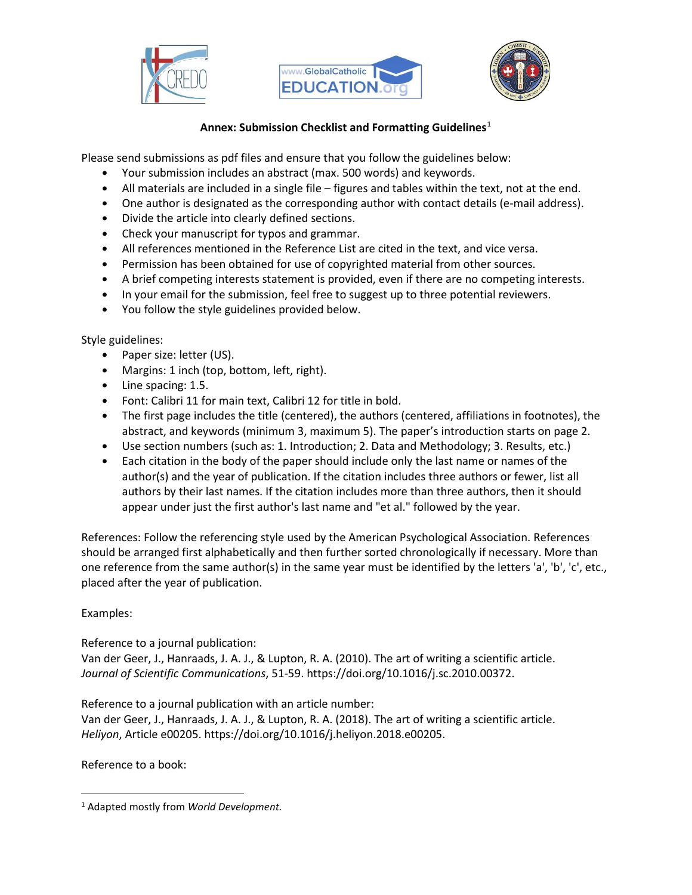





## **Annex: Submission Checklist and Formatting Guidelines**[1](#page-1-0)

Please send submissions as pdf files and ensure that you follow the guidelines below:

- Your submission includes an abstract (max. 500 words) and keywords.
- All materials are included in a single file figures and tables within the text, not at the end.
- One author is designated as the corresponding author with contact details (e-mail address).
- Divide the article into clearly defined sections.
- Check your manuscript for typos and grammar.
- All references mentioned in the Reference List are cited in the text, and vice versa.
- Permission has been obtained for use of copyrighted material from other sources.
- A brief competing interests statement is provided, even if there are no competing interests.
- In your email for the submission, feel free to suggest up to three potential reviewers.
- You follow the style guidelines provided below.

Style guidelines:

- Paper size: letter (US).
- Margins: 1 inch (top, bottom, left, right).
- Line spacing: 1.5.
- Font: Calibri 11 for main text, Calibri 12 for title in bold.
- The first page includes the title (centered), the authors (centered, affiliations in footnotes), the abstract, and keywords (minimum 3, maximum 5). The paper's introduction starts on page 2.
- Use section numbers (such as: 1. Introduction; 2. Data and Methodology; 3. Results, etc.)
- Each citation in the body of the paper should include only the last name or names of the author(s) and the year of publication. If the citation includes three authors or fewer, list all authors by their last names. If the citation includes more than three authors, then it should appear under just the first author's last name and "et al." followed by the year.

References: Follow the referencing style used by the American Psychological Association. References should be arranged first alphabetically and then further sorted chronologically if necessary. More than one reference from the same author(s) in the same year must be identified by the letters 'a', 'b', 'c', etc., placed after the year of publication.

## Examples:

Reference to a journal publication:

Van der Geer, J., Hanraads, J. A. J., & Lupton, R. A. (2010). The art of writing a scientific article. *Journal of Scientific Communications*, 51-59. https://doi.org/10.1016/j.sc.2010.00372.

Reference to a journal publication with an article number:

Van der Geer, J., Hanraads, J. A. J., & Lupton, R. A. (2018). The art of writing a scientific article. *Heliyon*, Article e00205. https://doi.org/10.1016/j.heliyon.2018.e00205.

Reference to a book:

<span id="page-1-0"></span><sup>1</sup> Adapted mostly from *World Development.*